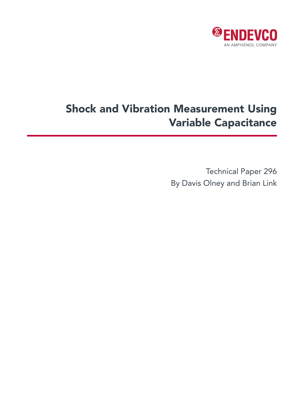

# Shock and Vibration Measurement Using Variable Capacitance

Technical Paper 296 By Davis Olney and Brian Link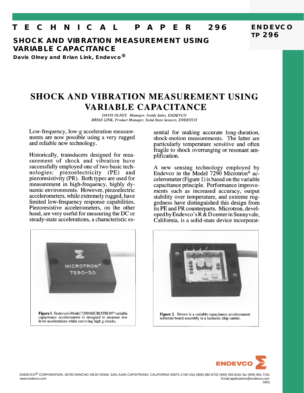# **T E C H N I C A L P A P E R 296**

**SHOCK AND VIBRATION MEASUREMENT USING VARIABLE CAPACITANCE**

**Davis Olney and Brian Link, Endevco®**

# **SHOCK AND VIBRATION MEASUREMENT USING** VARIABLE CAPACITANCE

DAVIS OLNEY, Manager, Inside Sales, ENDEVCO BRIAN LINK, Product Manager, Solid State Sensors, ENDEVCO

Low-frequency, low-g acceleration measurements are now possible using a very rugged and reliable new technology.

Historically, transducers designed for measurement of shock and vibration have successfully employed one of two basic technologies: piezoelectricity (PE) and piezoresistivity (PR). Both types are used for measurement in high-frequency, highly dynamic environments. However, piezoelectric accelerometers, while extremely rugged, have limited low-frequency response capabilities. Piezoresistive accelerometers, on the other hand, are very useful for measuring the DC or steady-state accelerations, a characteristic es-



sential for making accurate long-duration, shock-motion measurements. The latter are particularly temperature sensitive and often fragile to shock overranging or resonant amplification.

**ENDEVCO**

**TP 296**

A new sensing technology employed by Endevco in the Model 7290 Microtron<sup>®</sup> accelerometer (Figure 1) is based on the variable capacitance principle. Performance improvements such as increased accuracy, output stability over temperature, and extreme ruggedness have distinguished this design from its PE and PR counterparts. Microtron, developed by Endevco's R & D center in Sunnyvale, California, is a solid-state device incorporat-



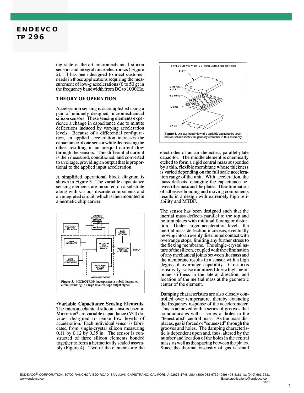

ing state-of-the-art micromechanical silicon sensors and integral microelectronics (Figure 2). It has been designed to meet customer needs in those applications requiring the measurement of low-g accelerations (0 to 50 g) in the frequency bandwidth from DC to 1000 Hz.

### THEORY OF OPERATION

Acceleration sensing is accomplished using a pair of uniquely designed micromechanical silicon sensors. These sensing elements experience a change in capacitance due to minute deflections induced by varying acceleration levels. Because of a differential configuration, an applied acceleration increases the capacitance of one sensor while decreasing the other, resulting in an unequal current flow through the sensors. This differential current is then measured, conditioned, and converted to a voltage, providing an output that is proportional to the applied input acceleration.

A simplified operational block diagram is shown in Figure 3. The variable capacitance sensing elements are mounted on a substrate along with various discrete components and an integrated circuit, which is then mounted in a hermetic chip carrier.



•Variable Capacitance Sensing Elements. The micromechanical silicon sensors used in Microtron<sup>®</sup> are variable capacitance (VC) devices designed to sense low levels of acceleration. Each individual sensor is fabricated from single-crystal silicon measuring  $0.11$  by  $0.12$  by  $0.35$  in. The sensor is constructed of three silicon elements bonded together to form a hermetically sealed assembly (Figure 4). Two of the elements are the



electrodes of an air dielectric, parallel-plate capacitor. The middle element is chemically etched to form a rigid central mass suspended by a thin, flexible membrane whose thickness is varied depending on the full scale acceleration range of the unit. With acceleration, the mass deflects, changing the capacitance between the mass and the plates. The elimination of adhesive bonding and moving components results in a design with extremely high reliability and MTBF.

The sensor has been designed such that the inertial mass deflects parallel to the top and bottom plates with minimal flexing or distortion. Under larger acceleration levels, the inertial mass deflection increases, eventually moving into an evenly distributed contact with overrange stops, limiting any further stress to the flexing membrane. The single-crystal nature of the silicon, coupled with the elimination of any mechanical joints between the mass and the membrane results in a sensor with a high degree of overrange capability. Cross-axis sensitivity is also minimized due to high membrane stiffness in the lateral direction, and location of the inertial mass at the geometric center of the element.

Damping characteristics are also closely controlled over temperature, thereby extending the frequency response of the accelerometer. This is achieved with a series of grooves that communicates with a series of holes in the "fenestrated" central mass. As the mass displaces, gas is forced or "squeezed" through the grooves and holes. The damping characteristic is dependent upon and, thus, altered by the number and location of the holes in the central mass, as well as the spacing between the plates. Since the thermal viscosity of gas is small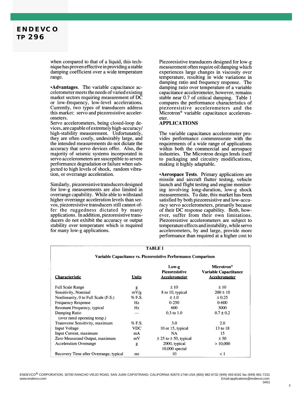## **ENDEVCO TP 296**

when compared to that of a liquid, this technique has proven effective in providing a stable damping coefficient over a wide temperature range.

•Advantages. The variable capacitance accelerometer meets the needs of varied existing market sectors requiring measurement of DC or low-frequency, low-level accelerations. Currently, two types of transducers address this market: servo and piezoresistive accelerometers.

Servo accelerometers, being closed-loop devices, are capable of extremely high-accuracy/ high-stability measurement. Unfortunately, they are often costly, undesirably large, and the intended measurements do not dictate the accuracy that servo devices offer. Also, the majority of seismic systems incorporated in servo accelerometers are susceptible to severe performance degradation or failure when subjected to high levels of shock, random vibration, or overrange acceleration.

Similarly, piezoresistive transducers designed for low-g measurements are also limited in overrange capability. While able to withstand higher overrange acceleration levels than servos, piezoresistive transducers still cannot offer the ruggedness dictated by many applications. In addition, piezoresistive transducers do not exhibit the accuracy or output stability over temperature which is required for many low-g applications.

Piezoresistive transducers designed for low-g measurement often require oil damping which experiences large changes in viscosity over temperature, resulting in wide variations in damping ratio and frequency response. The damping ratio over temperature of a variable capacitance accelerometer, however, remains stable near 0.7 of critical damping. Table 1 compares the performance characteristics of piezoresistive accelerometers and the Microtron<sup>®</sup> variable capacitance accelerometer.

### **APPLICATIONS**

The variable capacitance accelerometer provides performance commensurate with the requirements of a wide range of applications within both the commercial and aerospace industries. The Microtron design lends itself to packaging and circuitry modifications, making it highly adaptable.

• Aerospace Tests. Primary applications are missile and aircraft flutter testing, vehicle launch and flight testing and engine monitoring involving long-duration, low-g shock measurements. To date, this market has been satisfied by both piezoresistive and low-accuracy servo accelerometers, primarily because of their DC response capability. Both, however, suffer from their own limitations. Piezoresistive accelerometers are subject to temperature effects and instability, while servo accelerometers, by and large, provide more performance than required at a higher cost to

| <b>TABLE 1</b><br>Variable Capacitance vs. Piezoresistive Performance Comparison |            |                                   |               |
|----------------------------------------------------------------------------------|------------|-----------------------------------|---------------|
|                                                                                  |            |                                   |               |
| <b>Full Scale Range</b>                                                          | g          | ±10                               | ±10           |
| Sensitivity, Nominal                                                             | mV/g       | 8 to 10, typical                  | $200 \pm 10$  |
| Nonlinearity, 0 to Full Scale (F.S.)                                             | $%$ F.S.   | ±1.0                              | ± 0.25        |
| <b>Frequency Response</b>                                                        | Hz         | $0 - 250$                         | $0 - 600$     |
| Resonant Frequency, typical                                                      | Hz         | 600                               | 3000          |
| Damping Ratio<br>(over rated operating temp.)                                    | ---        | $0.3$ to $1.0$                    | $0.7 \pm 0.2$ |
| Transverse Sensitivity, maximum                                                  | $%$ F.S.   | 3.0                               | 2.0           |
| Input Voltage                                                                    | <b>VDC</b> | 10 or 15, typical                 | 13 to 18      |
| Input Current, maximum                                                           | mA         | NA.                               | 15            |
| Zero Measurand Output, maximum                                                   | mV         | $\pm$ 25 to $\pm$ 50, typical     | ± 50          |
| <b>Acceleration Overrange</b>                                                    | g          | 2000, typical<br>$10,000$ special | > 10,000      |
| Recovery Time after Overrange, typical                                           | ms         | 10                                | $\lt 1$       |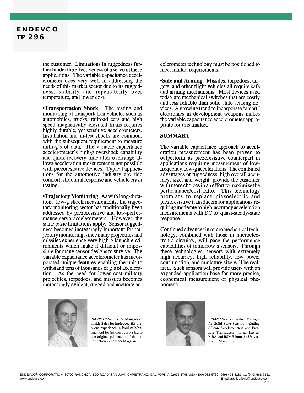## **ENDEVCO TP 296**

the customer. Limitations in ruggedness further hinder the effectiveness of a servo in these applications. The variable capacitance accelerometer does very well in addressing the needs of this market sector due to its ruggedness, stability and repeatability over temperature, and lower cost.

**•Transportation Shock.** The testing and monitoring of transportation vehicles such as automobiles, trucks, railroad cars and high speed magnetically elevated trains requires highly durable, yet sensitive accelerometers. Installation and in-test shocks are common, with the subsequent requirement to measure milli-g's of data. The variable capacitance accelerometer's high-g overshock capability and quick recovery time after overrange allows acceleration measurements not possible with piezoresistive devices. Typical applications for the automotive industry are ride comfort, structural response and vehicle crash testing.

**•Trajectory Monitoring.** As with long-duration, low-g shock measurements, the trajectory monitoring sector has traditionally been addressed by piezoresistive and low-performance servo accelerometers. However, the same basic limitations apply. Sensor ruggedness becomes increasingly important for trajectory monitoring, since many projectiles and missiles experience very high-g launch environments which make it difficult or impossible for many sensor designs to survive. The variable capacitance accelerometer has incorporated unique features enabling the unit to withstand tens of thousands of g's of acceleration. As the need for lower cost military projectiles, torpedoes, and missiles becomes increasingly evident, rugged and accurate ac-



DAVIS OLNEY is the Manager of Inside Sales for Endevco. His previous experience in Product Management for Silicon Sensors led to the original publication of this information in Sensors Magazine.

celerometer technology must be positioned to meet market requirements.

**Safe and Arming.** Missiles, torpedoes, targets, and other flight vehicles all require safe and arming mechanisms. Most devices used today are mechanical switches that are costly and less reliable than solid-state sensing devices. A growing trend to incorporate "smart" electronics in development weapons makes the variable capacitance accelerometer appropriate for this market.

#### **SUMMARY**

The variable capacitance approach to acceleration measurement has been proven to outperform its piezoresistive counterpart in applications requiring measurement of lowfrequency, low-g accelerations. The combined advantages of ruggedness, high overall accuracy, size, and weight, provide the customer with more choices in an effort to maximize the performance/cost ratio. This technology promises to replace piezoelectric and piezoresistive transducers for applications requiring moderate to high-accuracy acceleration measurements with DC to quasi-steady-state response.

Continued advances in micromechanical technology, combined with those in microelectronic circuitry, will pace the performance capabilities of tomorrow's sensors. Through these technologies, sensors with extremely high accuracy, high reliability, low power consumption, and miniature size will be realized. Such sensors will provide users with an expanded application base for more precise, economical measurement of physical phenomena.



**BRIAN LINK** is a Product Manager for Solid State Sensors including Silicon Accelerometers and Pressure Transducers. Brian has an MBA and BSME from the University of Minnesota.